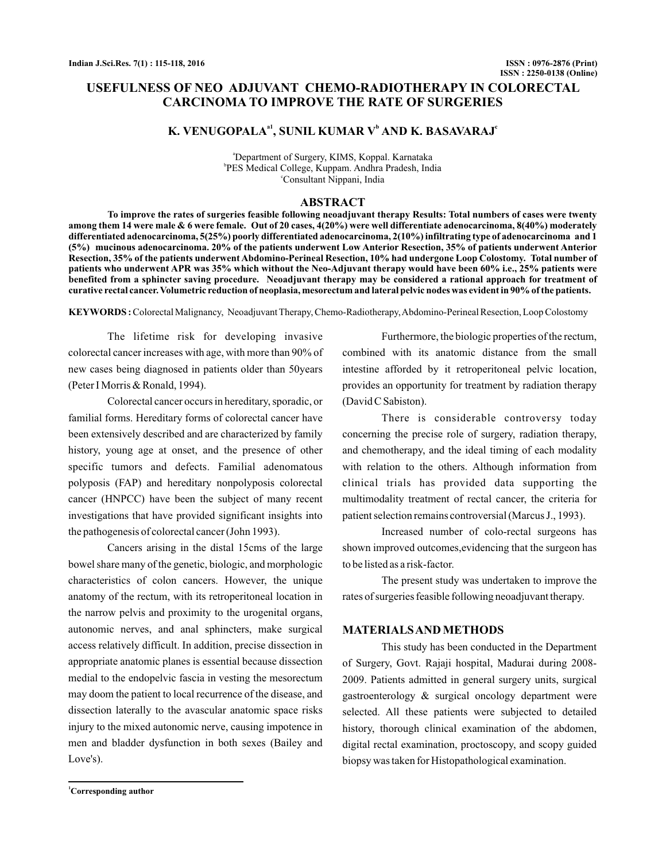# **USEFULNESS OF NEO ADJUVANT CHEMO-RADIOTHERAPY IN COLORECTAL CARCINOMA TO IMPROVE THE RATE OF SURGERIES**

# **K. VENUGOPALA<sup>a1</sup>, SUNIL KUMAR V<sup>b</sup> AND K. BASAVARAJ<sup>e</sup>**

a Department of Surgery, KIMS, Koppal. Karnataka b PES Medical College, Kuppam. Andhra Pradesh, India c Consultant Nippani, India

#### **ABSTRACT**

**To improve the rates of surgeries feasible following neoadjuvant therapy Results: Total numbers of cases were twenty among them 14 were male & 6 were female. Out of 20 cases, 4(20%) were well differentiate adenocarcinoma, 8(40%) moderately differentiated adenocarcinoma, 5(25%) poorly differentiated adenocarcinoma, 2(10%) infiltrating type of adenocarcinoma and 1 (5%) mucinous adenocarcinoma. 20% of the patients underwent Low Anterior Resection, 35% of patients underwent Anterior Resection, 35% of the patients underwent Abdomino-Perineal Resection, 10% had undergone Loop Colostomy. Total number of patients who underwent APR was 35% which without the Neo-Adjuvant therapy would have been 60% i.e., 25% patients were benefited from a sphincter saving procedure. Neoadjuvant therapy may be considered a rational approach for treatment of curative rectal cancer. Volumetric reduction of neoplasia, mesorectum and lateral pelvic nodes was evident in 90% of the patients.**

**KEYWORDS :**Colorectal Malignancy, Neoadjuvant Therapy, Chemo-Radiotherapy,Abdomino-Perineal Resection, Loop Colostomy

The lifetime risk for developing invasive colorectal cancer increases with age, with more than 90% of new cases being diagnosed in patients older than 50years (Peter I Morris & Ronald, 1994).

Colorectal cancer occurs in hereditary, sporadic, or familial forms. Hereditary forms of colorectal cancer have been extensively described and are characterized by family history, young age at onset, and the presence of other specific tumors and defects. Familial adenomatous polyposis (FAP) and hereditary nonpolyposis colorectal cancer (HNPCC) have been the subject of many recent investigations that have provided significant insights into the pathogenesis of colorectal cancer (John 1993).

Cancers arising in the distal 15cms of the large bowel share many of the genetic, biologic, and morphologic characteristics of colon cancers. However, the unique anatomy of the rectum, with its retroperitoneal location in the narrow pelvis and proximity to the urogenital organs, autonomic nerves, and anal sphincters, make surgical access relatively difficult. In addition, precise dissection in appropriate anatomic planes is essential because dissection medial to the endopelvic fascia in vesting the mesorectum may doom the patient to local recurrence of the disease, and dissection laterally to the avascular anatomic space risks injury to the mixed autonomic nerve, causing impotence in men and bladder dysfunction in both sexes (Bailey and Love's).

Furthermore, the biologic properties of the rectum, combined with its anatomic distance from the small intestine afforded by it retroperitoneal pelvic location, provides an opportunity for treatment by radiation therapy (David C Sabiston).

There is considerable controversy today concerning the precise role of surgery, radiation therapy, and chemotherapy, and the ideal timing of each modality with relation to the others. Although information from clinical trials has provided data supporting the multimodality treatment of rectal cancer, the criteria for patient selection remains controversial (Marcus J., 1993).

Increased number of colo-rectal surgeons has shown improved outcomes,evidencing that the surgeon has to be listed as a risk-factor.

The present study was undertaken to improve the rates of surgeries feasible following neoadjuvant therapy.

## **MATERIALSAND METHODS**

This study has been conducted in the Department of Surgery, Govt. Rajaji hospital, Madurai during 2008- 2009. Patients admitted in general surgery units, surgical gastroenterology & surgical oncology department were selected. All these patients were subjected to detailed history, thorough clinical examination of the abdomen, digital rectal examination, proctoscopy, and scopy guided biopsy was taken for Histopathological examination.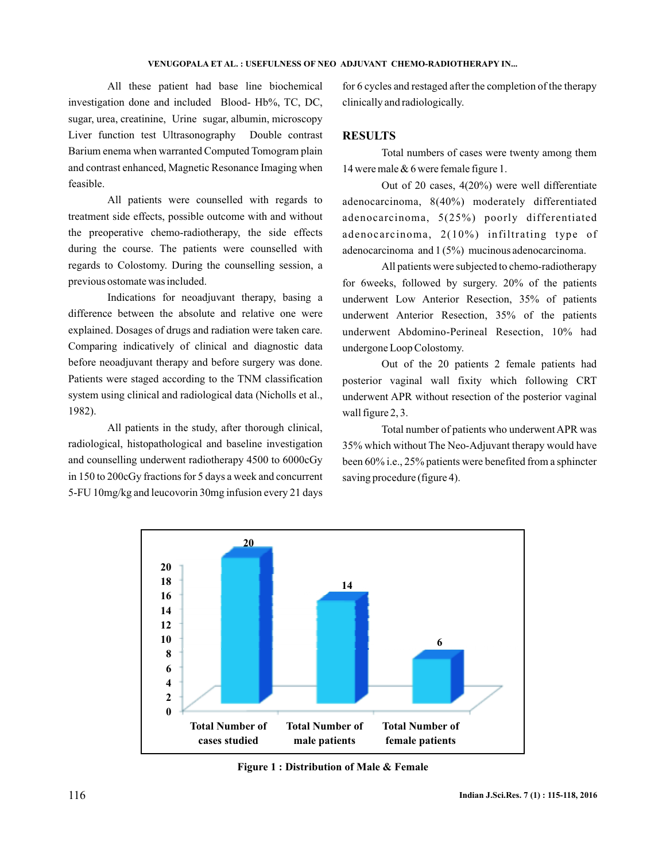#### **VENUGOPALA ET AL. : USEFULNESS OF NEO ADJUVANT CHEMO-RADIOTHERAPY IN...**

All these patient had base line biochemical investigation done and included Blood- Hb%, TC, DC, sugar, urea, creatinine, Urine sugar, albumin, microscopy Liver function test Ultrasonography Double contrast Barium enema when warranted Computed Tomogram plain and contrast enhanced, Magnetic Resonance Imaging when feasible.

All patients were counselled with regards to treatment side effects, possible outcome with and without the preoperative chemo-radiotherapy, the side effects during the course. The patients were counselled with regards to Colostomy. During the counselling session, a previous ostomate was included.

Indications for neoadjuvant therapy, basing a difference between the absolute and relative one were explained. Dosages of drugs and radiation were taken care. Comparing indicatively of clinical and diagnostic data before neoadjuvant therapy and before surgery was done. Patients were staged according to the TNM classification system using clinical and radiological data (Nicholls et al., 1982).

All patients in the study, after thorough clinical, radiological, histopathological and baseline investigation and counselling underwent radiotherapy 4500 to 6000cGy in 150 to 200cGy fractions for 5 days a week and concurrent 5-FU 10mg/kg and leucovorin 30mg infusion every 21 days

for 6 cycles and restaged after the completion of the therapy clinically and radiologically.

### **RESULTS**

Total numbers of cases were twenty among them 14 were male & 6 were female figure 1.

Out of 20 cases, 4(20%) were well differentiate adenocarcinoma, 8(40%) moderately differentiated adenocarcinoma, 5(25%) poorly differentiated adenocarcinoma, 2(10%) infiltrating type of adenocarcinoma and 1 (5%) mucinous adenocarcinoma.

All patients were subjected to chemo-radiotherapy for 6weeks, followed by surgery. 20% of the patients underwent Low Anterior Resection, 35% of patients underwent Anterior Resection, 35% of the patients underwent Abdomino-Perineal Resection, 10% had undergone Loop Colostomy.

Out of the 20 patients 2 female patients had posterior vaginal wall fixity which following CRT underwent APR without resection of the posterior vaginal wall figure 2, 3.

Total number of patients who underwent APR was 35% which without The Neo-Adjuvant therapy would have been 60% i.e., 25% patients were benefited from a sphincter saving procedure (figure 4).



**Figure 1 : Distribution of Male & Female**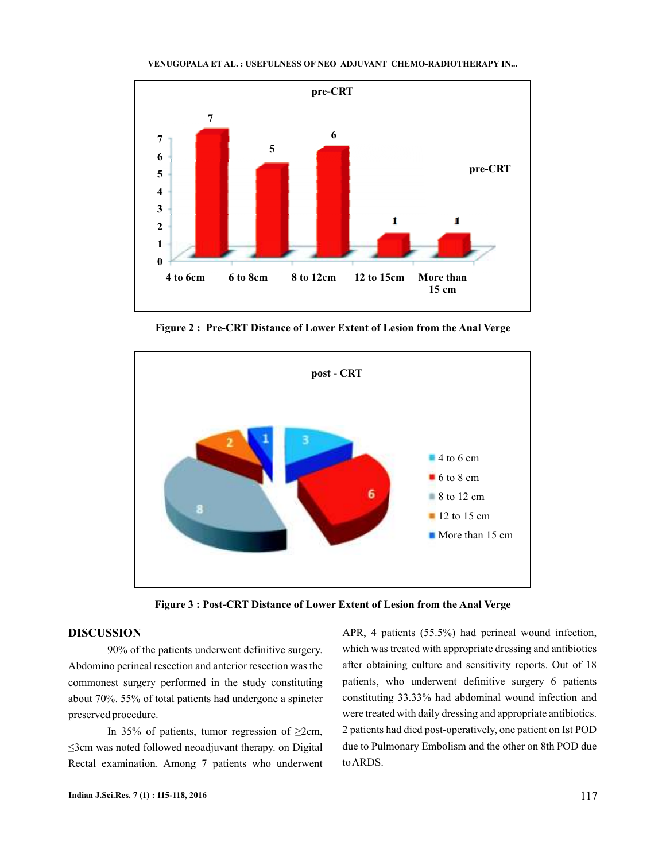

**VENUGOPALA ET AL. : USEFULNESS OF NEO ADJUVANT CHEMO-RADIOTHERAPY IN...**

**Figure 2 : Pre-CRT Distance of Lower Extent of Lesion from the Anal Verge**



**Figure 3 : Post-CRT Distance of Lower Extent of Lesion from the Anal Verge**

### **DISCUSSION**

90% of the patients underwent definitive surgery. Abdomino perineal resection and anterior resection was the commonest surgery performed in the study constituting about 70%. 55% of total patients had undergone a spincter preserved procedure.

In 35% of patients, tumor regression of ≥2cm, ≤3cm was noted followed neoadjuvant therapy. on Digital Rectal examination. Among 7 patients who underwent APR, 4 patients (55.5%) had perineal wound infection, which was treated with appropriate dressing and antibiotics after obtaining culture and sensitivity reports. Out of 18 patients, who underwent definitive surgery 6 patients constituting 33.33% had abdominal wound infection and were treated with daily dressing and appropriate antibiotics. 2 patients had died post-operatively, one patient on Ist POD due to Pulmonary Embolism and the other on 8th POD due toARDS.